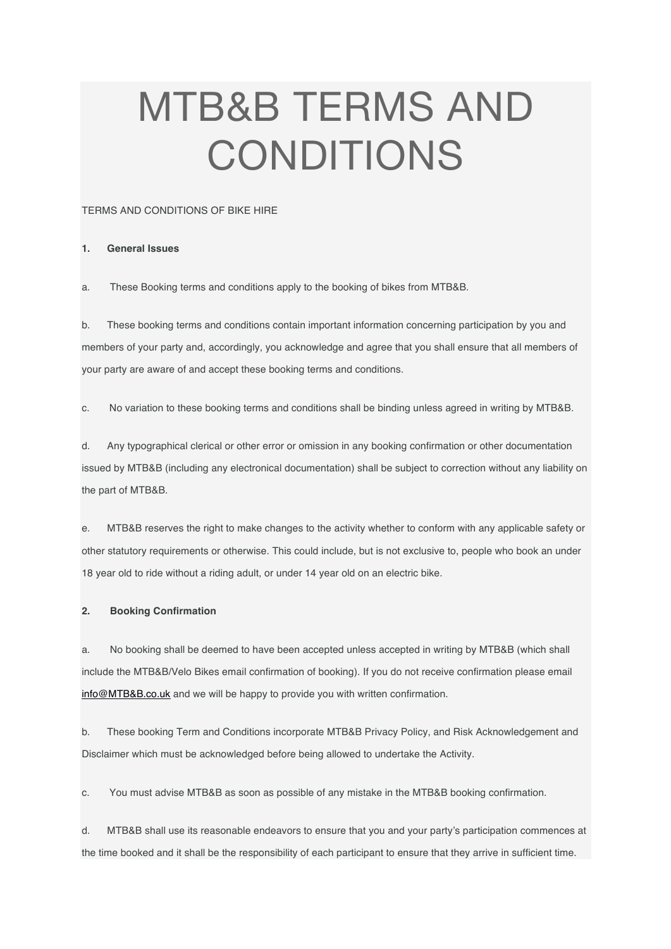# MTB&B TERMS AND CONDITIONS

## TERMS AND CONDITIONS OF BIKE HIRE

#### **1. General Issues**

a. These Booking terms and conditions apply to the booking of bikes from MTB&B.

b. These booking terms and conditions contain important information concerning participation by you and members of your party and, accordingly, you acknowledge and agree that you shall ensure that all members of your party are aware of and accept these booking terms and conditions.

c. No variation to these booking terms and conditions shall be binding unless agreed in writing by MTB&B.

d. Any typographical clerical or other error or omission in any booking confirmation or other documentation issued by MTB&B (including any electronical documentation) shall be subject to correction without any liability on the part of MTB&B.

e. MTB&B reserves the right to make changes to the activity whether to conform with any applicable safety or other statutory requirements or otherwise. This could include, but is not exclusive to, people who book an under 18 year old to ride without a riding adult, or under 14 year old on an electric bike.

# **2. Booking Confirmation**

a. No booking shall be deemed to have been accepted unless accepted in writing by MTB&B (which shall include the MTB&B/Velo Bikes email confirmation of booking). If you do not receive confirmation please email info@MTB&B.co.uk and we will be happy to provide you with written confirmation.

b. These booking Term and Conditions incorporate MTB&B Privacy Policy, and Risk Acknowledgement and Disclaimer which must be acknowledged before being allowed to undertake the Activity.

c. You must advise MTB&B as soon as possible of any mistake in the MTB&B booking confirmation.

d. MTB&B shall use its reasonable endeavors to ensure that you and your party's participation commences at the time booked and it shall be the responsibility of each participant to ensure that they arrive in sufficient time.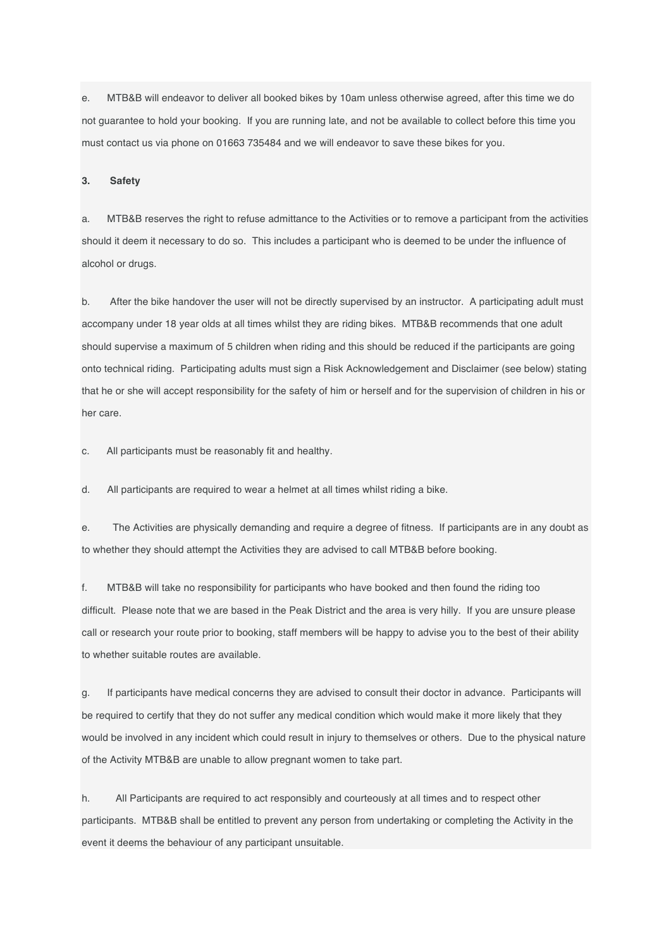e. MTB&B will endeavor to deliver all booked bikes by 10am unless otherwise agreed, after this time we do not guarantee to hold your booking. If you are running late, and not be available to collect before this time you must contact us via phone on 01663 735484 and we will endeavor to save these bikes for you.

**3. Safety**

a. MTB&B reserves the right to refuse admittance to the Activities or to remove a participant from the activities should it deem it necessary to do so. This includes a participant who is deemed to be under the influence of alcohol or drugs.

b. After the bike handover the user will not be directly supervised by an instructor. A participating adult must accompany under 18 year olds at all times whilst they are riding bikes. MTB&B recommends that one adult should supervise a maximum of 5 children when riding and this should be reduced if the participants are going onto technical riding. Participating adults must sign a Risk Acknowledgement and Disclaimer (see below) stating that he or she will accept responsibility for the safety of him or herself and for the supervision of children in his or her care.

c. All participants must be reasonably fit and healthy.

d. All participants are required to wear a helmet at all times whilst riding a bike.

e. The Activities are physically demanding and require a degree of fitness. If participants are in any doubt as to whether they should attempt the Activities they are advised to call MTB&B before booking.

f. MTB&B will take no responsibility for participants who have booked and then found the riding too difficult. Please note that we are based in the Peak District and the area is very hilly. If you are unsure please call or research your route prior to booking, staff members will be happy to advise you to the best of their ability to whether suitable routes are available.

g. If participants have medical concerns they are advised to consult their doctor in advance. Participants will be required to certify that they do not suffer any medical condition which would make it more likely that they would be involved in any incident which could result in injury to themselves or others. Due to the physical nature of the Activity MTB&B are unable to allow pregnant women to take part.

h. All Participants are required to act responsibly and courteously at all times and to respect other participants. MTB&B shall be entitled to prevent any person from undertaking or completing the Activity in the event it deems the behaviour of any participant unsuitable.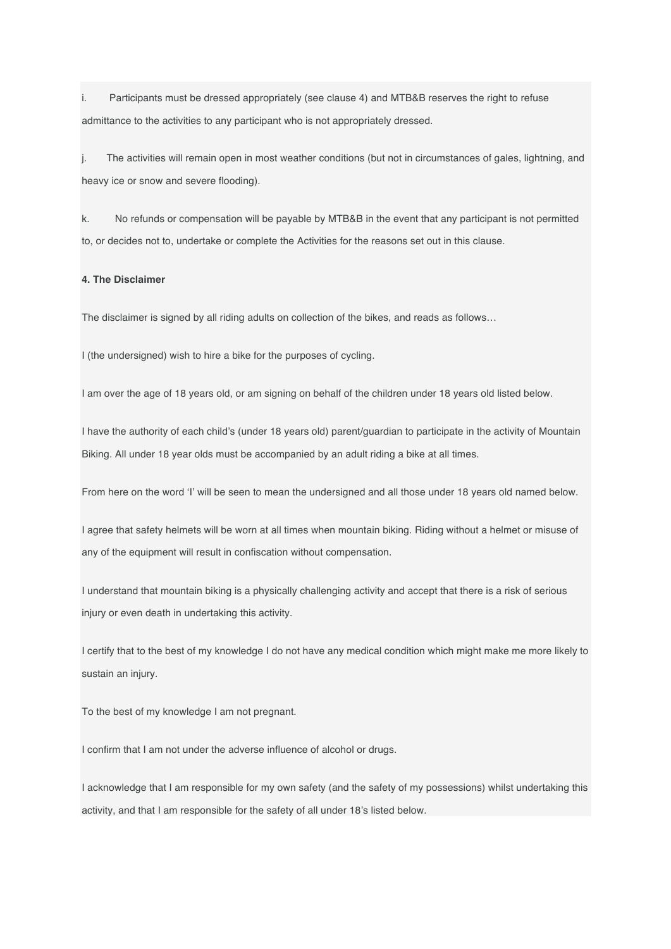i. Participants must be dressed appropriately (see clause 4) and MTB&B reserves the right to refuse admittance to the activities to any participant who is not appropriately dressed.

j. The activities will remain open in most weather conditions (but not in circumstances of gales, lightning, and heavy ice or snow and severe flooding).

k. No refunds or compensation will be payable by MTB&B in the event that any participant is not permitted to, or decides not to, undertake or complete the Activities for the reasons set out in this clause.

## **4. The Disclaimer**

The disclaimer is signed by all riding adults on collection of the bikes, and reads as follows…

I (the undersigned) wish to hire a bike for the purposes of cycling.

I am over the age of 18 years old, or am signing on behalf of the children under 18 years old listed below.

I have the authority of each child's (under 18 years old) parent/guardian to participate in the activity of Mountain Biking. All under 18 year olds must be accompanied by an adult riding a bike at all times.

From here on the word 'I' will be seen to mean the undersigned and all those under 18 years old named below.

I agree that safety helmets will be worn at all times when mountain biking. Riding without a helmet or misuse of any of the equipment will result in confiscation without compensation.

I understand that mountain biking is a physically challenging activity and accept that there is a risk of serious injury or even death in undertaking this activity.

I certify that to the best of my knowledge I do not have any medical condition which might make me more likely to sustain an injury.

To the best of my knowledge I am not pregnant.

I confirm that I am not under the adverse influence of alcohol or drugs.

I acknowledge that I am responsible for my own safety (and the safety of my possessions) whilst undertaking this activity, and that I am responsible for the safety of all under 18's listed below.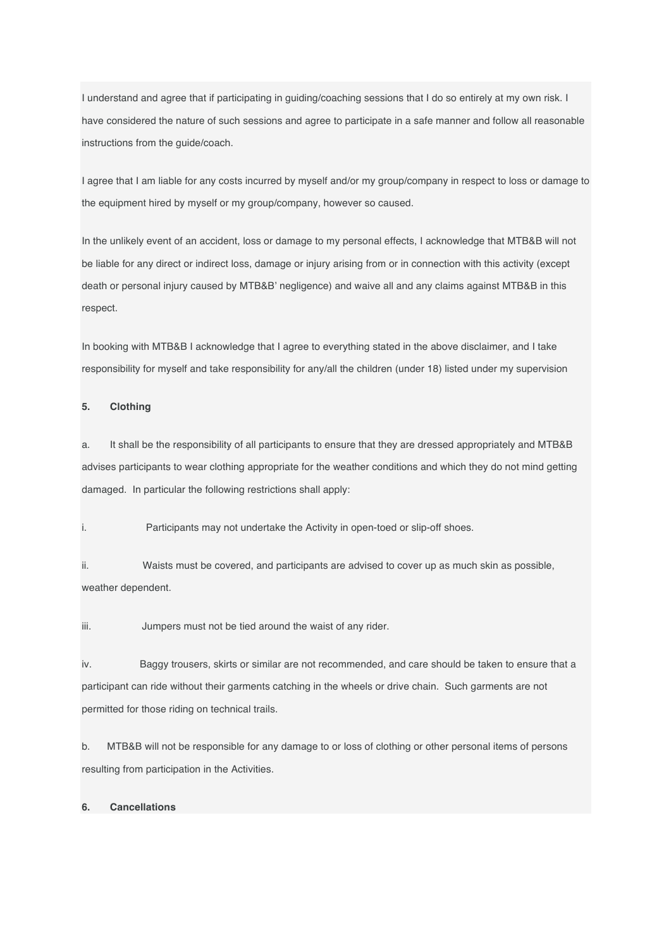I understand and agree that if participating in guiding/coaching sessions that I do so entirely at my own risk. I have considered the nature of such sessions and agree to participate in a safe manner and follow all reasonable instructions from the guide/coach.

I agree that I am liable for any costs incurred by myself and/or my group/company in respect to loss or damage to the equipment hired by myself or my group/company, however so caused.

In the unlikely event of an accident, loss or damage to my personal effects, I acknowledge that MTB&B will not be liable for any direct or indirect loss, damage or injury arising from or in connection with this activity (except death or personal injury caused by MTB&B' negligence) and waive all and any claims against MTB&B in this respect.

In booking with MTB&B I acknowledge that I agree to everything stated in the above disclaimer, and I take responsibility for myself and take responsibility for any/all the children (under 18) listed under my supervision

#### **5. Clothing**

a. It shall be the responsibility of all participants to ensure that they are dressed appropriately and MTB&B advises participants to wear clothing appropriate for the weather conditions and which they do not mind getting damaged. In particular the following restrictions shall apply:

i. Participants may not undertake the Activity in open-toed or slip-off shoes.

ii. Waists must be covered, and participants are advised to cover up as much skin as possible, weather dependent.

iii. Jumpers must not be tied around the waist of any rider.

iv. Baggy trousers, skirts or similar are not recommended, and care should be taken to ensure that a participant can ride without their garments catching in the wheels or drive chain. Such garments are not permitted for those riding on technical trails.

b. MTB&B will not be responsible for any damage to or loss of clothing or other personal items of persons resulting from participation in the Activities.

# **6. Cancellations**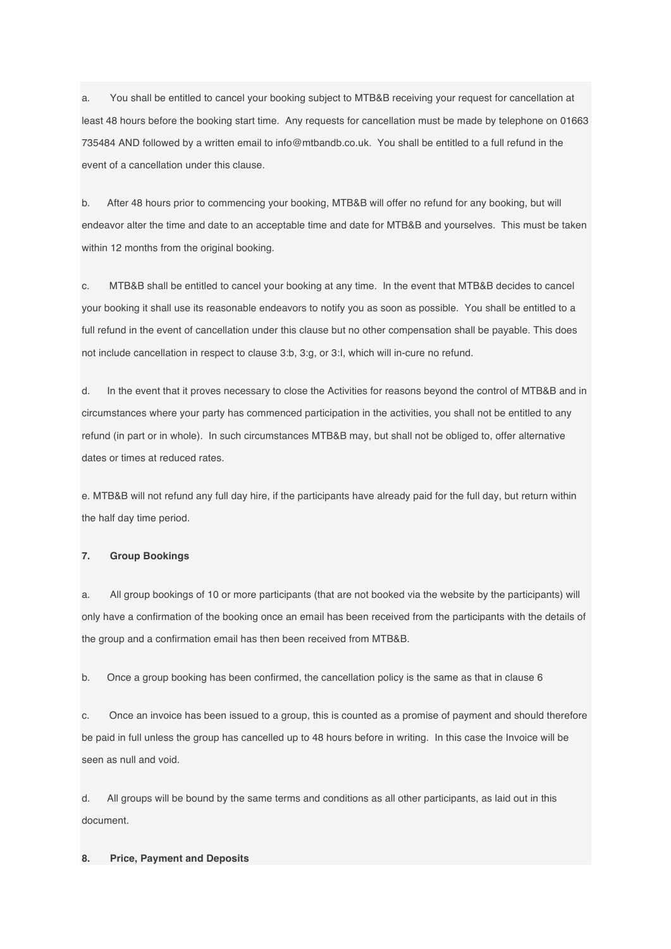a. You shall be entitled to cancel your booking subject to MTB&B receiving your request for cancellation at least 48 hours before the booking start time. Any requests for cancellation must be made by telephone on 01663 735484 AND followed by a written email to info@mtbandb.co.uk. You shall be entitled to a full refund in the event of a cancellation under this clause.

b. After 48 hours prior to commencing your booking, MTB&B will offer no refund for any booking, but will endeavor alter the time and date to an acceptable time and date for MTB&B and yourselves. This must be taken within 12 months from the original booking.

c. MTB&B shall be entitled to cancel your booking at any time. In the event that MTB&B decides to cancel your booking it shall use its reasonable endeavors to notify you as soon as possible. You shall be entitled to a full refund in the event of cancellation under this clause but no other compensation shall be payable. This does not include cancellation in respect to clause 3:b, 3:g, or 3:I, which will in-cure no refund.

d. In the event that it proves necessary to close the Activities for reasons beyond the control of MTB&B and in circumstances where your party has commenced participation in the activities, you shall not be entitled to any refund (in part or in whole). In such circumstances MTB&B may, but shall not be obliged to, offer alternative dates or times at reduced rates.

e. MTB&B will not refund any full day hire, if the participants have already paid for the full day, but return within the half day time period.

#### **7. Group Bookings**

a. All group bookings of 10 or more participants (that are not booked via the website by the participants) will only have a confirmation of the booking once an email has been received from the participants with the details of the group and a confirmation email has then been received from MTB&B.

b. Once a group booking has been confirmed, the cancellation policy is the same as that in clause 6

c. Once an invoice has been issued to a group, this is counted as a promise of payment and should therefore be paid in full unless the group has cancelled up to 48 hours before in writing. In this case the Invoice will be seen as null and void.

d. All groups will be bound by the same terms and conditions as all other participants, as laid out in this document.

## **8. Price, Payment and Deposits**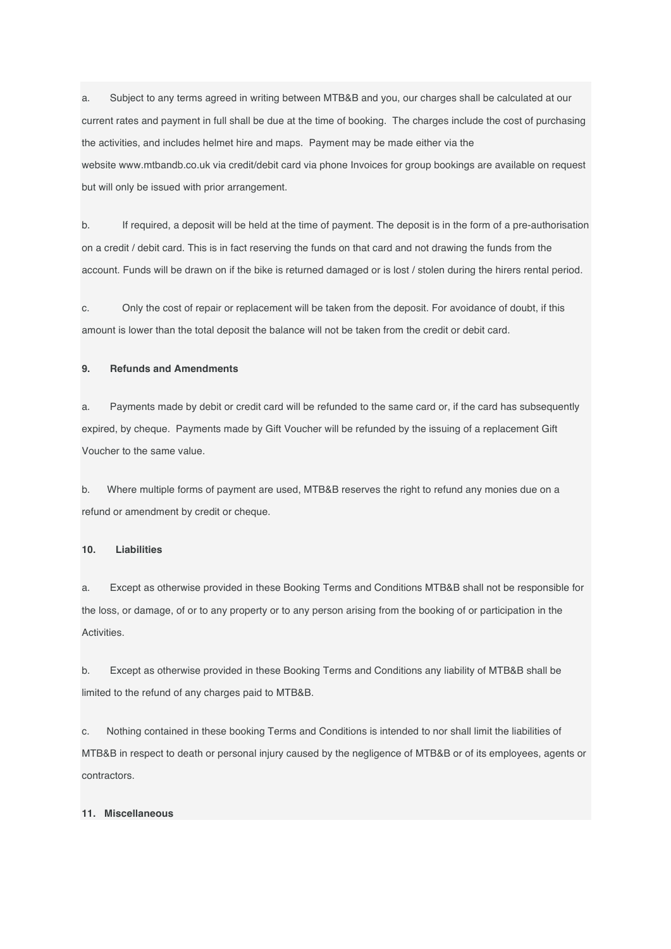a. Subject to any terms agreed in writing between MTB&B and you, our charges shall be calculated at our current rates and payment in full shall be due at the time of booking. The charges include the cost of purchasing the activities, and includes helmet hire and maps. Payment may be made either via the website www.mtbandb.co.uk via credit/debit card via phone Invoices for group bookings are available on request but will only be issued with prior arrangement.

b. If required, a deposit will be held at the time of payment. The deposit is in the form of a pre-authorisation on a credit / debit card. This is in fact reserving the funds on that card and not drawing the funds from the account. Funds will be drawn on if the bike is returned damaged or is lost / stolen during the hirers rental period.

c. Only the cost of repair or replacement will be taken from the deposit. For avoidance of doubt, if this amount is lower than the total deposit the balance will not be taken from the credit or debit card.

# **9. Refunds and Amendments**

a. Payments made by debit or credit card will be refunded to the same card or, if the card has subsequently expired, by cheque. Payments made by Gift Voucher will be refunded by the issuing of a replacement Gift Voucher to the same value.

b. Where multiple forms of payment are used, MTB&B reserves the right to refund any monies due on a refund or amendment by credit or cheque.

## **10. Liabilities**

a. Except as otherwise provided in these Booking Terms and Conditions MTB&B shall not be responsible for the loss, or damage, of or to any property or to any person arising from the booking of or participation in the Activities.

b. Except as otherwise provided in these Booking Terms and Conditions any liability of MTB&B shall be limited to the refund of any charges paid to MTB&B.

c. Nothing contained in these booking Terms and Conditions is intended to nor shall limit the liabilities of MTB&B in respect to death or personal injury caused by the negligence of MTB&B or of its employees, agents or contractors.

### **11. Miscellaneous**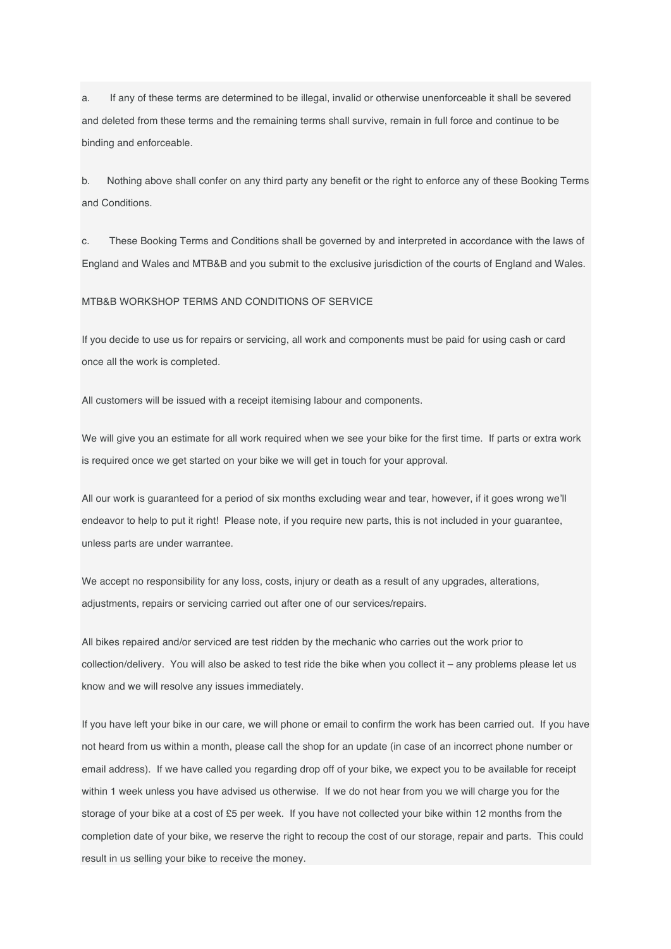a. If any of these terms are determined to be illegal, invalid or otherwise unenforceable it shall be severed and deleted from these terms and the remaining terms shall survive, remain in full force and continue to be binding and enforceable.

b. Nothing above shall confer on any third party any benefit or the right to enforce any of these Booking Terms and Conditions.

c. These Booking Terms and Conditions shall be governed by and interpreted in accordance with the laws of England and Wales and MTB&B and you submit to the exclusive jurisdiction of the courts of England and Wales.

MTB&B WORKSHOP TERMS AND CONDITIONS OF SERVICE

If you decide to use us for repairs or servicing, all work and components must be paid for using cash or card once all the work is completed.

All customers will be issued with a receipt itemising labour and components.

We will give you an estimate for all work required when we see your bike for the first time. If parts or extra work is required once we get started on your bike we will get in touch for your approval.

All our work is guaranteed for a period of six months excluding wear and tear, however, if it goes wrong we'll endeavor to help to put it right! Please note, if you require new parts, this is not included in your guarantee, unless parts are under warrantee.

We accept no responsibility for any loss, costs, injury or death as a result of any upgrades, alterations, adjustments, repairs or servicing carried out after one of our services/repairs.

All bikes repaired and/or serviced are test ridden by the mechanic who carries out the work prior to collection/delivery. You will also be asked to test ride the bike when you collect it – any problems please let us know and we will resolve any issues immediately.

If you have left your bike in our care, we will phone or email to confirm the work has been carried out. If you have not heard from us within a month, please call the shop for an update (in case of an incorrect phone number or email address). If we have called you regarding drop off of your bike, we expect you to be available for receipt within 1 week unless you have advised us otherwise. If we do not hear from you we will charge you for the storage of your bike at a cost of £5 per week. If you have not collected your bike within 12 months from the completion date of your bike, we reserve the right to recoup the cost of our storage, repair and parts. This could result in us selling your bike to receive the money.